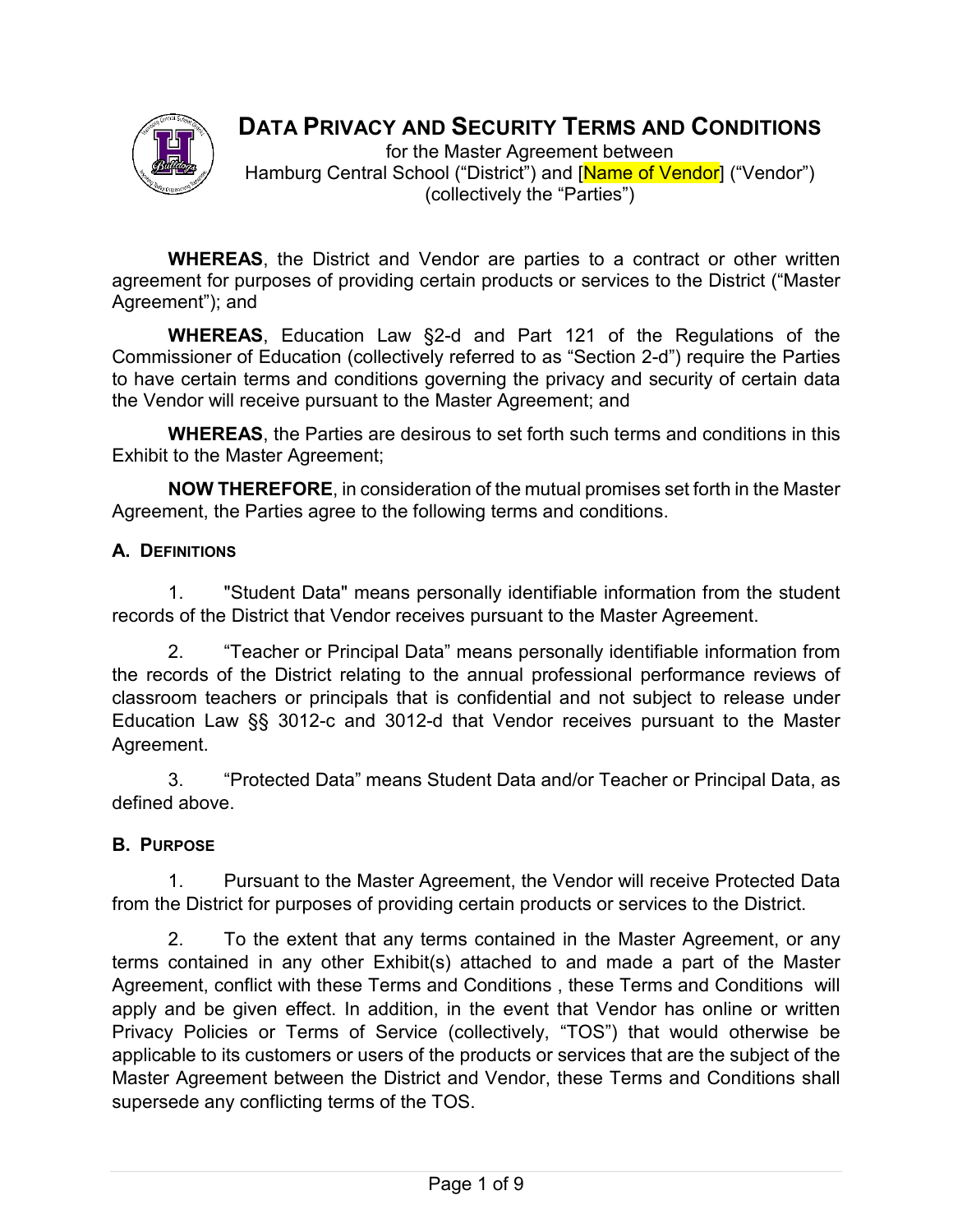

# **DATA PRIVACY AND SECURITY TERMS AND CONDITIONS**

for the Master Agreement between Hamburg Central School ("District") and [Name of Vendor] ("Vendor") (collectively the "Parties")

**WHEREAS**, the District and Vendor are parties to a contract or other written agreement for purposes of providing certain products or services to the District ("Master Agreement"); and

**WHEREAS**, Education Law §2-d and Part 121 of the Regulations of the Commissioner of Education (collectively referred to as "Section 2-d") require the Parties to have certain terms and conditions governing the privacy and security of certain data the Vendor will receive pursuant to the Master Agreement; and

**WHEREAS**, the Parties are desirous to set forth such terms and conditions in this Exhibit to the Master Agreement;

**NOW THEREFORE**, in consideration of the mutual promises set forth in the Master Agreement, the Parties agree to the following terms and conditions.

# **A. DEFINITIONS**

1. "Student Data" means personally identifiable information from the student records of the District that Vendor receives pursuant to the Master Agreement.

2. "Teacher or Principal Data" means personally identifiable information from the records of the District relating to the annual professional performance reviews of classroom teachers or principals that is confidential and not subject to release under Education Law §§ 3012-c and 3012-d that Vendor receives pursuant to the Master Agreement.

3. "Protected Data" means Student Data and/or Teacher or Principal Data, as defined above.

# **B. PURPOSE**

1. Pursuant to the Master Agreement, the Vendor will receive Protected Data from the District for purposes of providing certain products or services to the District.

2. To the extent that any terms contained in the Master Agreement, or any terms contained in any other Exhibit(s) attached to and made a part of the Master Agreement, conflict with these Terms and Conditions , these Terms and Conditions will apply and be given effect. In addition, in the event that Vendor has online or written Privacy Policies or Terms of Service (collectively, "TOS") that would otherwise be applicable to its customers or users of the products or services that are the subject of the Master Agreement between the District and Vendor, these Terms and Conditions shall supersede any conflicting terms of the TOS.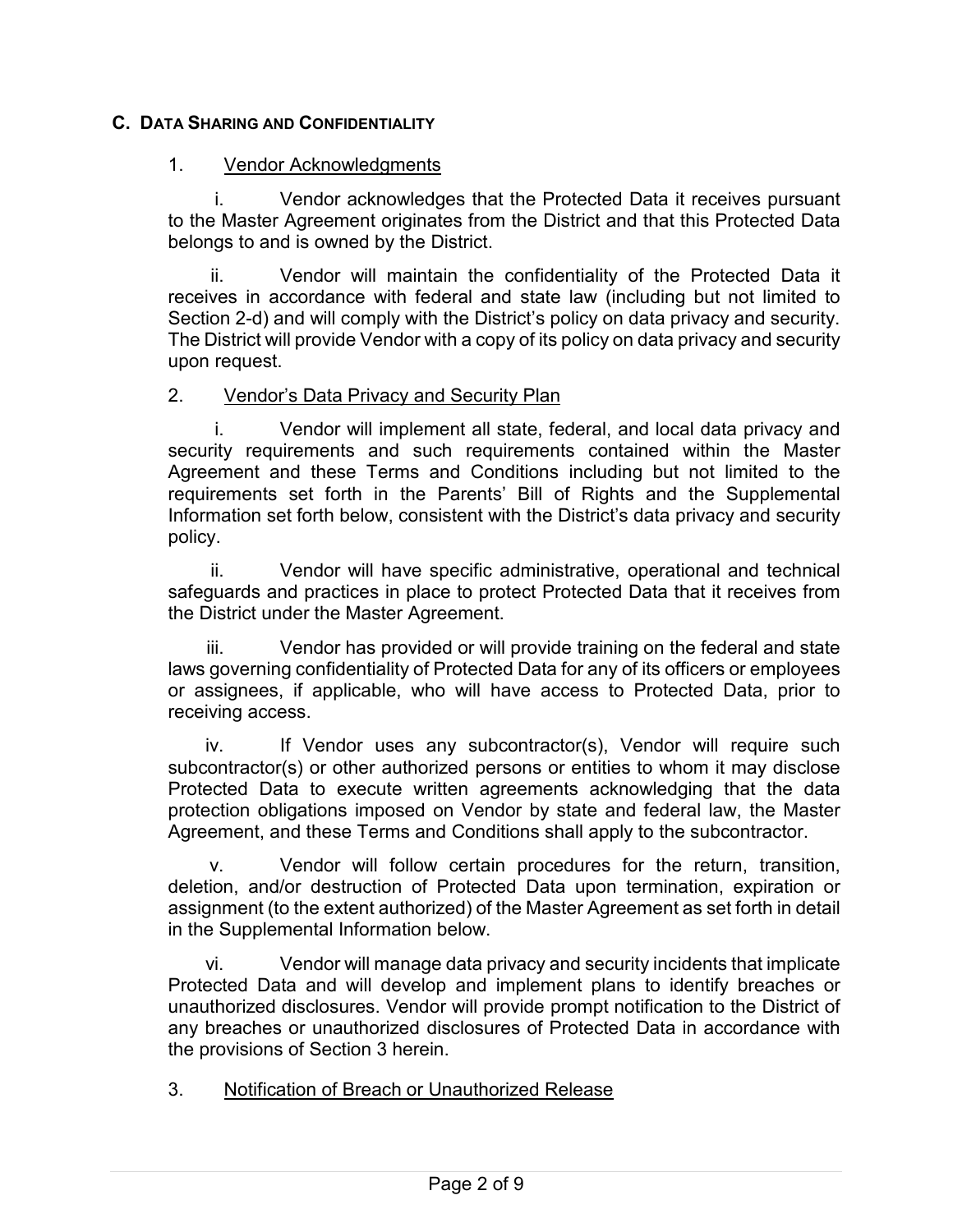# **C. DATA SHARING AND CONFIDENTIALITY**

#### 1. Vendor Acknowledgments

i. Vendor acknowledges that the Protected Data it receives pursuant to the Master Agreement originates from the District and that this Protected Data belongs to and is owned by the District.

ii. Vendor will maintain the confidentiality of the Protected Data it receives in accordance with federal and state law (including but not limited to Section 2-d) and will comply with the District's policy on data privacy and security. The District will provide Vendor with a copy of its policy on data privacy and security upon request.

#### 2. Vendor's Data Privacy and Security Plan

i. Vendor will implement all state, federal, and local data privacy and security requirements and such requirements contained within the Master Agreement and these Terms and Conditions including but not limited to the requirements set forth in the Parents' Bill of Rights and the Supplemental Information set forth below, consistent with the District's data privacy and security policy.

ii. Vendor will have specific administrative, operational and technical safeguards and practices in place to protect Protected Data that it receives from the District under the Master Agreement.

iii. Vendor has provided or will provide training on the federal and state laws governing confidentiality of Protected Data for any of its officers or employees or assignees, if applicable, who will have access to Protected Data, prior to receiving access.

iv. If Vendor uses any subcontractor(s), Vendor will require such subcontractor(s) or other authorized persons or entities to whom it may disclose Protected Data to execute written agreements acknowledging that the data protection obligations imposed on Vendor by state and federal law, the Master Agreement, and these Terms and Conditions shall apply to the subcontractor.

v. Vendor will follow certain procedures for the return, transition, deletion, and/or destruction of Protected Data upon termination, expiration or assignment (to the extent authorized) of the Master Agreement as set forth in detail in the Supplemental Information below.

vi. Vendor will manage data privacy and security incidents that implicate Protected Data and will develop and implement plans to identify breaches or unauthorized disclosures. Vendor will provide prompt notification to the District of any breaches or unauthorized disclosures of Protected Data in accordance with the provisions of Section 3 herein.

3. Notification of Breach or Unauthorized Release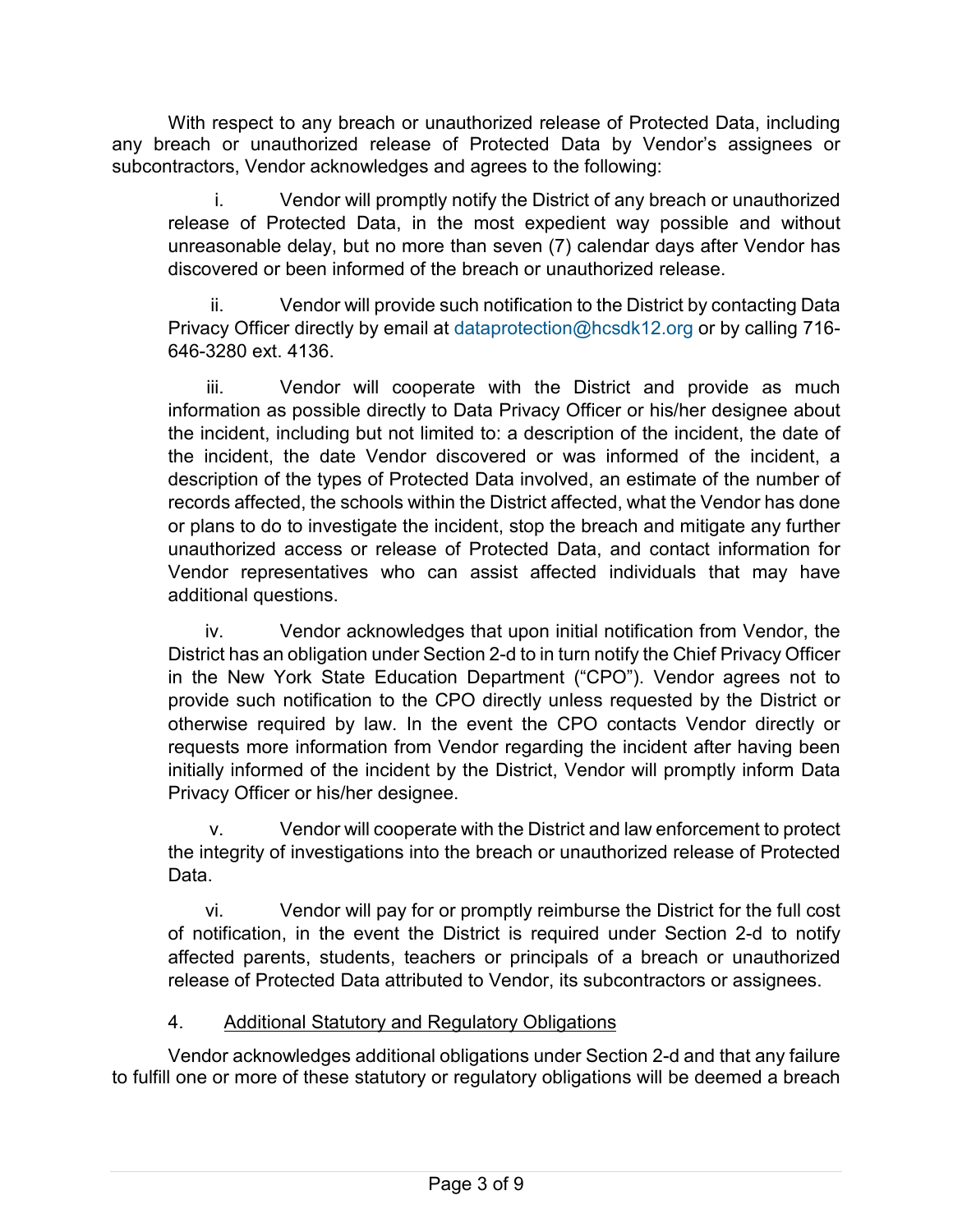With respect to any breach or unauthorized release of Protected Data, including any breach or unauthorized release of Protected Data by Vendor's assignees or subcontractors, Vendor acknowledges and agrees to the following:

i. Vendor will promptly notify the District of any breach or unauthorized release of Protected Data, in the most expedient way possible and without unreasonable delay, but no more than seven (7) calendar days after Vendor has discovered or been informed of the breach or unauthorized release.

ii. Vendor will provide such notification to the District by contacting Data Privacy Officer directly by email at [dataprotection@hcsdk12.org](mailto:dataprotection@hcsdk12.org) or by calling 716-646-3280 ext. 4136.

iii. Vendor will cooperate with the District and provide as much information as possible directly to Data Privacy Officer or his/her designee about the incident, including but not limited to: a description of the incident, the date of the incident, the date Vendor discovered or was informed of the incident, a description of the types of Protected Data involved, an estimate of the number of records affected, the schools within the District affected, what the Vendor has done or plans to do to investigate the incident, stop the breach and mitigate any further unauthorized access or release of Protected Data, and contact information for Vendor representatives who can assist affected individuals that may have additional questions.

iv. Vendor acknowledges that upon initial notification from Vendor, the District has an obligation under Section 2-d to in turn notify the Chief Privacy Officer in the New York State Education Department ("CPO"). Vendor agrees not to provide such notification to the CPO directly unless requested by the District or otherwise required by law. In the event the CPO contacts Vendor directly or requests more information from Vendor regarding the incident after having been initially informed of the incident by the District, Vendor will promptly inform Data Privacy Officer or his/her designee.

v. Vendor will cooperate with the District and law enforcement to protect the integrity of investigations into the breach or unauthorized release of Protected Data.

vi. Vendor will pay for or promptly reimburse the District for the full cost of notification, in the event the District is required under Section 2-d to notify affected parents, students, teachers or principals of a breach or unauthorized release of Protected Data attributed to Vendor, its subcontractors or assignees.

# 4. Additional Statutory and Regulatory Obligations

Vendor acknowledges additional obligations under Section 2-d and that any failure to fulfill one or more of these statutory or regulatory obligations will be deemed a breach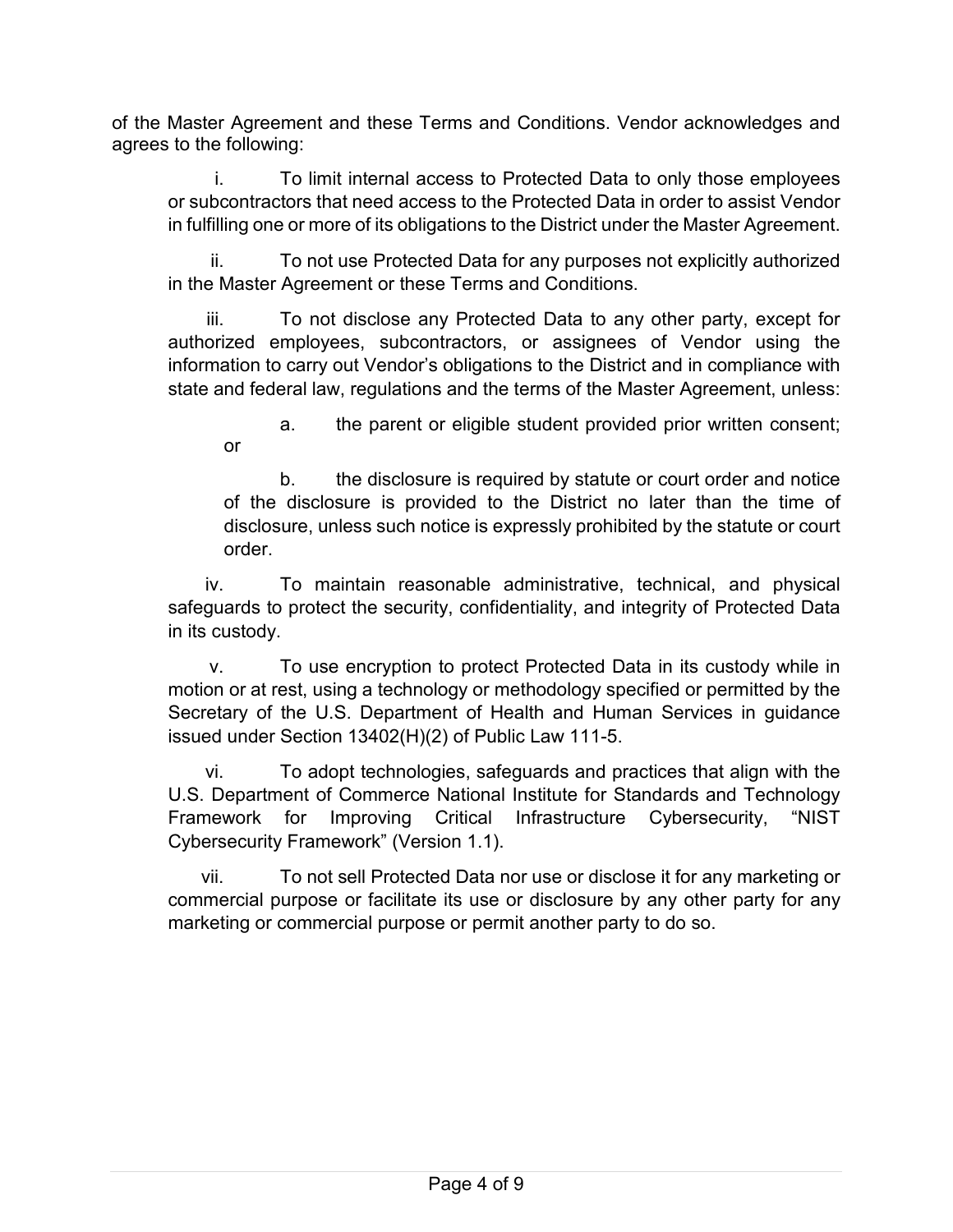of the Master Agreement and these Terms and Conditions. Vendor acknowledges and agrees to the following:

i. To limit internal access to Protected Data to only those employees or subcontractors that need access to the Protected Data in order to assist Vendor in fulfilling one or more of its obligations to the District under the Master Agreement.

ii. To not use Protected Data for any purposes not explicitly authorized in the Master Agreement or these Terms and Conditions.

iii. To not disclose any Protected Data to any other party, except for authorized employees, subcontractors, or assignees of Vendor using the information to carry out Vendor's obligations to the District and in compliance with state and federal law, regulations and the terms of the Master Agreement, unless:

a. the parent or eligible student provided prior written consent; or

b. the disclosure is required by statute or court order and notice of the disclosure is provided to the District no later than the time of disclosure, unless such notice is expressly prohibited by the statute or court order.

iv. To maintain reasonable administrative, technical, and physical safeguards to protect the security, confidentiality, and integrity of Protected Data in its custody.

v. To use encryption to protect Protected Data in its custody while in motion or at rest, using a technology or methodology specified or permitted by the Secretary of the U.S. Department of Health and Human Services in guidance issued under Section 13402(H)(2) of Public Law 111-5.

vi. To adopt technologies, safeguards and practices that align with the U.S. Department of Commerce National Institute for Standards and Technology Framework for Improving Critical Infrastructure Cybersecurity, "NIST Cybersecurity Framework" (Version 1.1).

vii. To not sell Protected Data nor use or disclose it for any marketing or commercial purpose or facilitate its use or disclosure by any other party for any marketing or commercial purpose or permit another party to do so.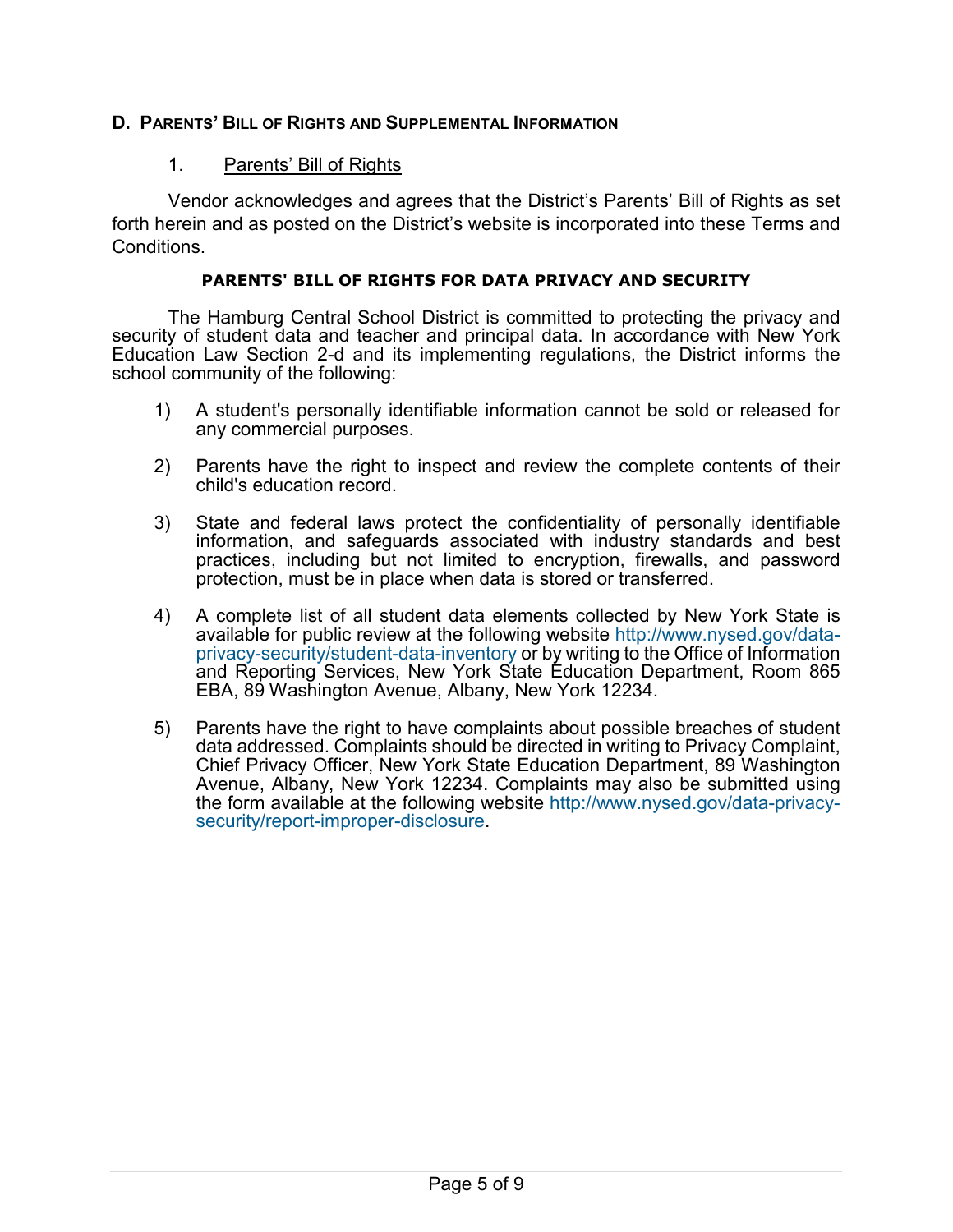#### **D. PARENTS' BILL OF RIGHTS AND SUPPLEMENTAL INFORMATION**

#### 1. Parents' Bill of Rights

Vendor acknowledges and agrees that the District's Parents' Bill of Rights as set forth herein and as posted on the District's website is incorporated into these Terms and Conditions.

#### **PARENTS' BILL OF RIGHTS FOR DATA PRIVACY AND SECURITY**

The Hamburg Central School District is committed to protecting the privacy and security of student data and teacher and principal data. In accordance with New York Education Law Section 2-d and its implementing regulations, the District informs the school community of the following:

- 1) A student's personally identifiable information cannot be sold or released for any commercial purposes.
- 2) Parents have the right to inspect and review the complete contents of their child's education record.
- 3) State and federal laws protect the confidentiality of personally identifiable information, and safeguards associated with industry standards and best practices, including but not limited to encryption, firewalls, and password protection, must be in place when data is stored or transferred.
- 4) A complete list of all student data elements collected by New York State is available for public review at the following website [http://www.nysed.gov/data](http://www.nysed.gov/data-privacy-security/student-data-inventory)[privacy-security/student-data-inventory](http://www.nysed.gov/data-privacy-security/student-data-inventory) or by writing to the Office of Information and Reporting Services, New York State Education Department, Room 865 EBA, 89 Washington Avenue, Albany, New York 12234.
- 5) Parents have the right to have complaints about possible breaches of student data addressed. Complaints should be directed in writing to Privacy Complaint, Chief Privacy Officer, New York State Education Department, 89 Washington Avenue, Albany, New York 12234. Complaints may also be submitted using the form available at the following website [http://www.nysed.gov/data-privacy](http://www.nysed.gov/data-privacy-security/report-improper-disclosure)[security/report-improper-disclosure.](http://www.nysed.gov/data-privacy-security/report-improper-disclosure)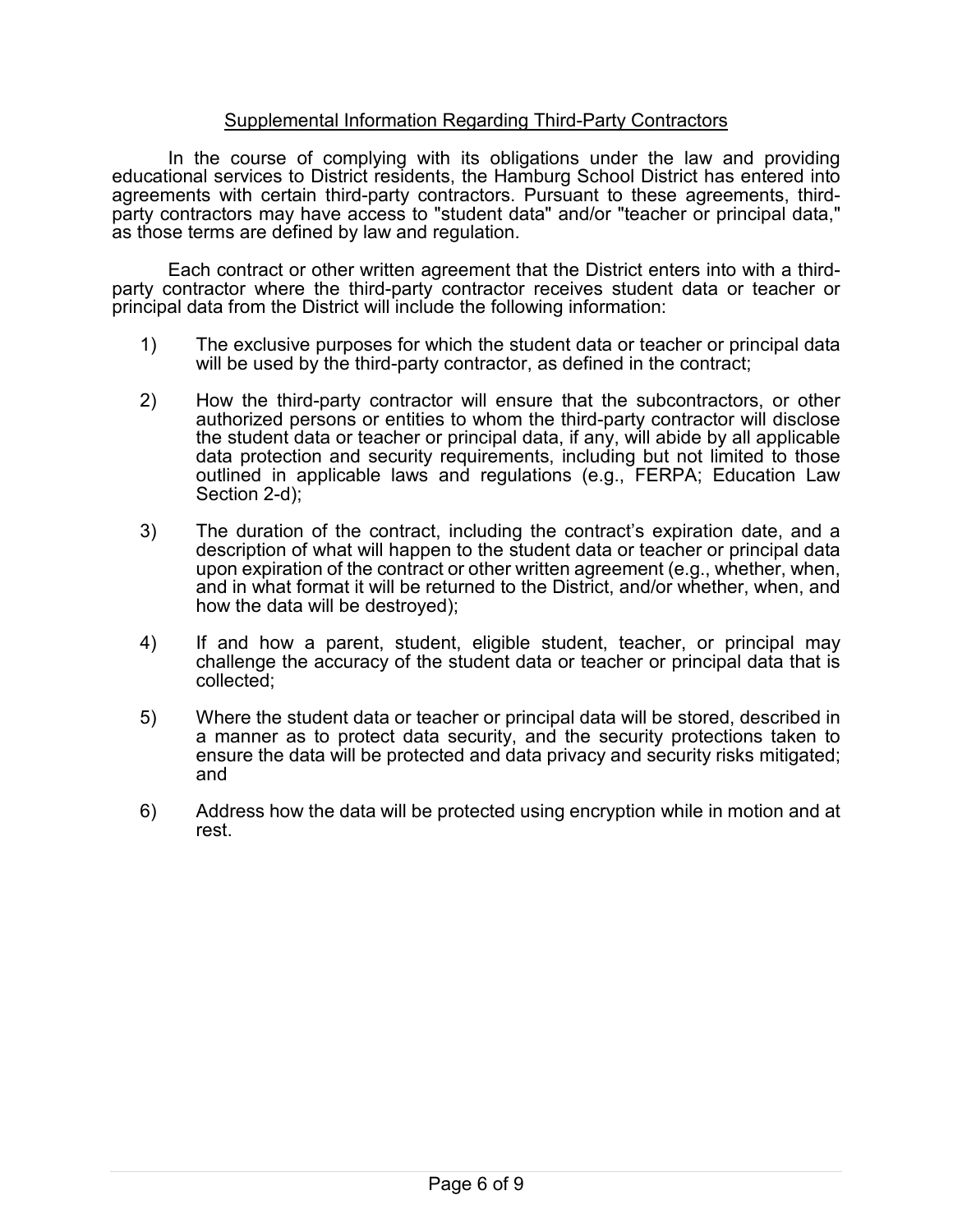#### Supplemental Information Regarding Third-Party Contractors

In the course of complying with its obligations under the law and providing educational services to District residents, the Hamburg School District has entered into agreements with third-party contractors. Pursuant to the setter these party contractors may have access to "student data" and/or "teacher or principal data," as those terms are defined by law and regulation.

Each contract or other written agreement that the District enters into with a third- party contractor where the third-party contractor receives student data or teacher or principal data from the District will include the following information:

- 1) The exclusive purposes for which the student data or teacher or principal data will be used by the third-party contractor, as defined in the contract;
- 2) How the third-party contractor will ensure that the subcontractors, or other authorized persons or entities to whom the third-party contractor will disclose the student data or teacher or principal data, if any, will abide by all applicable data protection and security requirements, including but not limited to those outlined in applicable laws and regulations (e.g., FERPA; Education Law Section 2-d);
- 3) The duration of the contract, including the contract's expiration date, and a description of what will happen to the student data or teacher or principal data upon expiration of the contract or other written agreement (e.g., whether, when, and in what format it will be returned to the District, and/or whether, when, and how the data will be destroyed);
- 4) If and how a parent, student, eligible student, teacher, or principal may challenge the accuracy of the student data or teacher or principal data that is collected;
- 5) Where the student data or teacher or principal data will be stored, described in a manner as to protect data security, and the security protections taken to ensure the data will be protected and data privacy and security risks mitigated; and
- 6) Address how the data will be protected using encryption while in motion and at rest.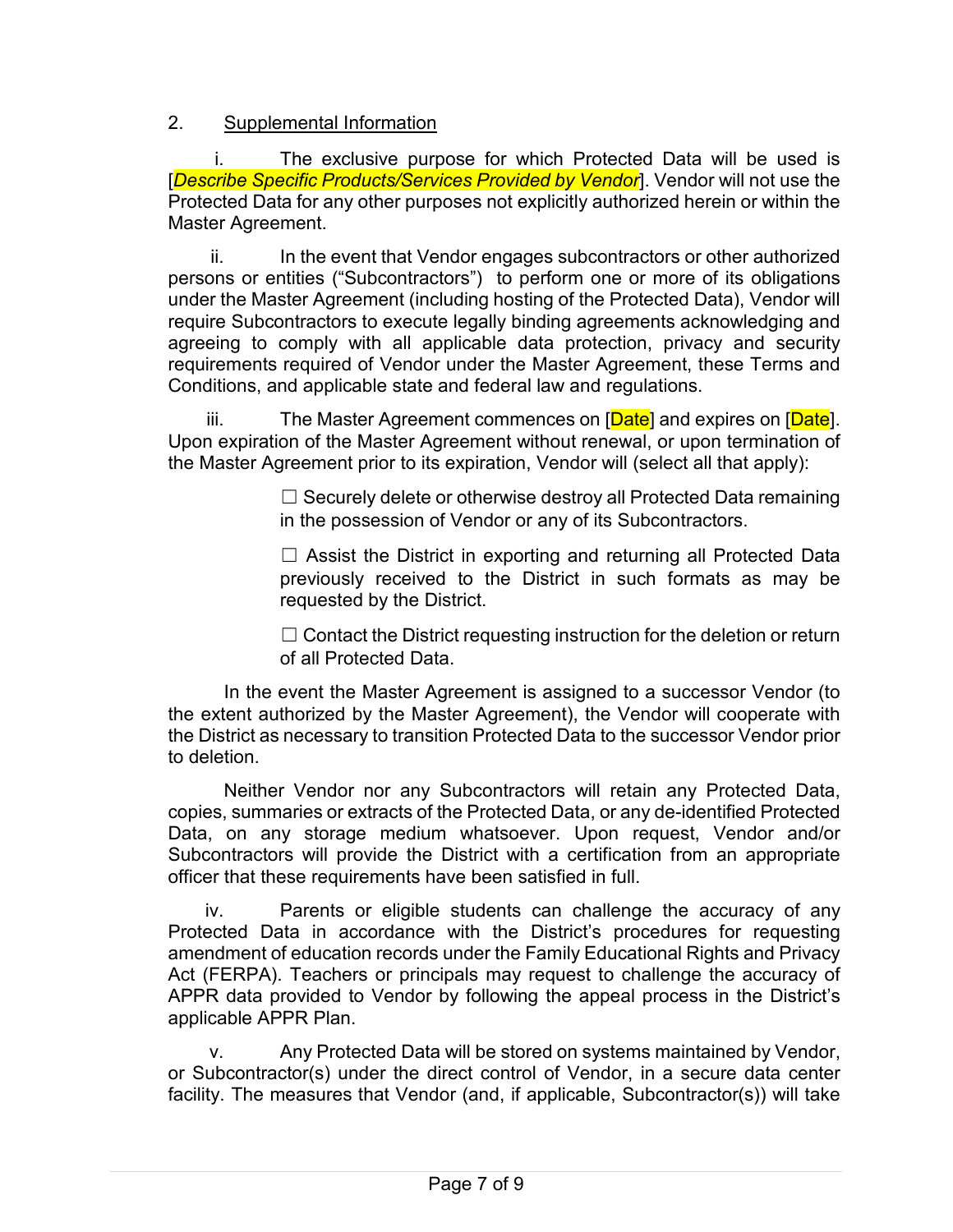# 2. Supplemental Information

The exclusive purpose for which Protected Data will be used is [*Describe Specific Products/Services Provided by Vendor*]. Vendor will not use the Protected Data for any other purposes not explicitly authorized herein or within the Master Agreement.

ii. In the event that Vendor engages subcontractors or other authorized persons or entities ("Subcontractors") to perform one or more of its obligations under the Master Agreement (including hosting of the Protected Data), Vendor will require Subcontractors to execute legally binding agreements acknowledging and agreeing to comply with all applicable data protection, privacy and security requirements required of Vendor under the Master Agreement, these Terms and Conditions, and applicable state and federal law and regulations.

iii. The Master Agreement commences on [Date] and expires on [Date]. Upon expiration of the Master Agreement without renewal, or upon termination of the Master Agreement prior to its expiration, Vendor will (select all that apply):

> $\Box$  Securely delete or otherwise destroy all Protected Data remaining in the possession of Vendor or any of its Subcontractors.

> $\Box$  Assist the District in exporting and returning all Protected Data previously received to the District in such formats as may be requested by the District.

> $\Box$  Contact the District requesting instruction for the deletion or return of all Protected Data.

In the event the Master Agreement is assigned to a successor Vendor (to the extent authorized by the Master Agreement), the Vendor will cooperate with the District as necessary to transition Protected Data to the successor Vendor prior to deletion.

Neither Vendor nor any Subcontractors will retain any Protected Data, copies, summaries or extracts of the Protected Data, or any de-identified Protected Data, on any storage medium whatsoever. Upon request, Vendor and/or Subcontractors will provide the District with a certification from an appropriate officer that these requirements have been satisfied in full.

iv. Parents or eligible students can challenge the accuracy of any Protected Data in accordance with the District's procedures for requesting amendment of education records under the Family Educational Rights and Privacy Act (FERPA). Teachers or principals may request to challenge the accuracy of APPR data provided to Vendor by following the appeal process in the District's applicable APPR Plan.

v. Any Protected Data will be stored on systems maintained by Vendor, or Subcontractor(s) under the direct control of Vendor, in a secure data center facility. The measures that Vendor (and, if applicable, Subcontractor(s)) will take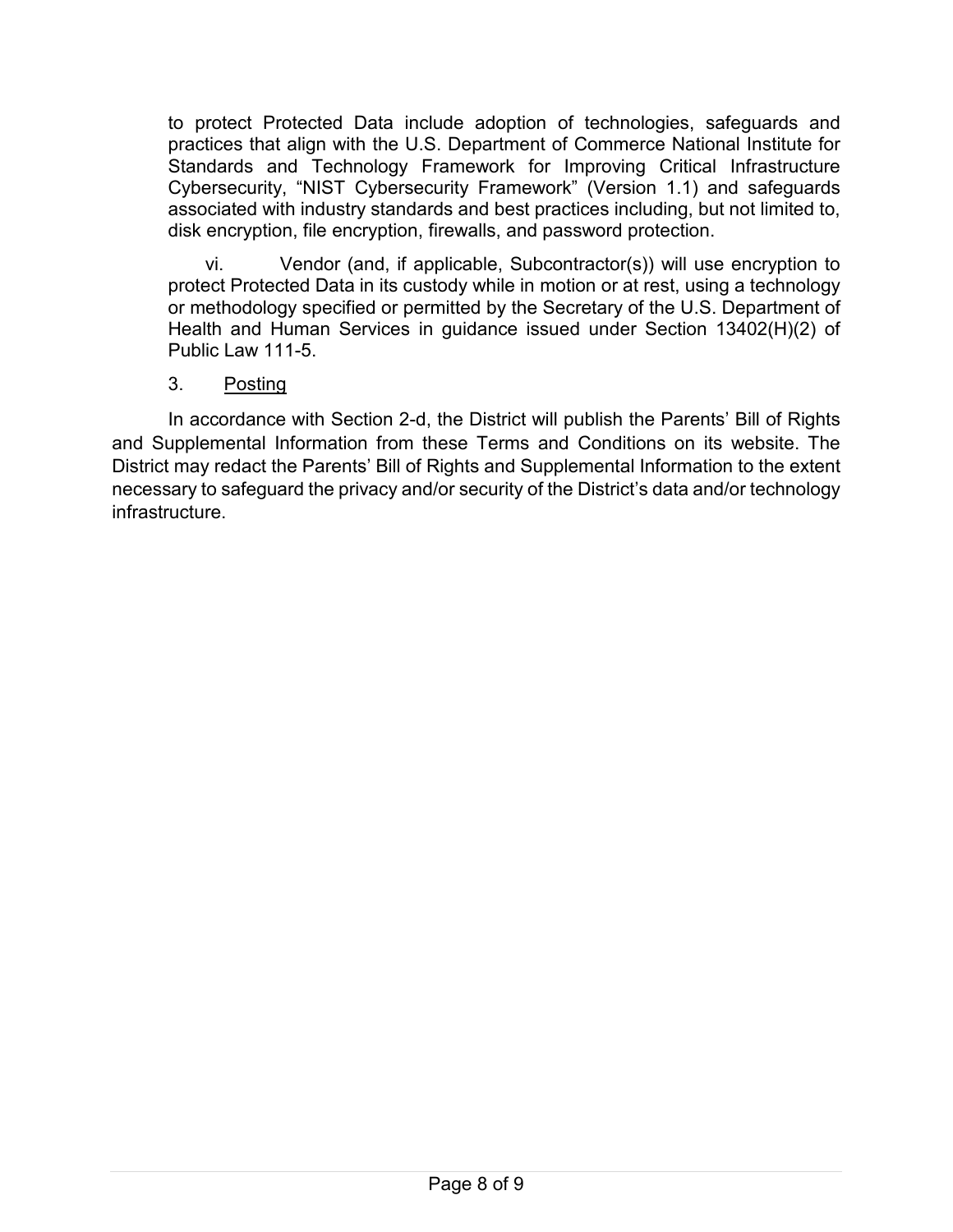to protect Protected Data include adoption of technologies, safeguards and practices that align with the U.S. Department of Commerce National Institute for Standards and Technology Framework for Improving Critical Infrastructure Cybersecurity, "NIST Cybersecurity Framework" (Version 1.1) and safeguards associated with industry standards and best practices including, but not limited to, disk encryption, file encryption, firewalls, and password protection.

vi. Vendor (and, if applicable, Subcontractor(s)) will use encryption to protect Protected Data in its custody while in motion or at rest, using a technology or methodology specified or permitted by the Secretary of the U.S. Department of Health and Human Services in guidance issued under Section 13402(H)(2) of Public Law 111-5.

# 3. Posting

In accordance with Section 2-d, the District will publish the Parents' Bill of Rights and Supplemental Information from these Terms and Conditions on its website. The District may redact the Parents' Bill of Rights and Supplemental Information to the extent necessary to safeguard the privacy and/or security of the District's data and/or technology infrastructure.